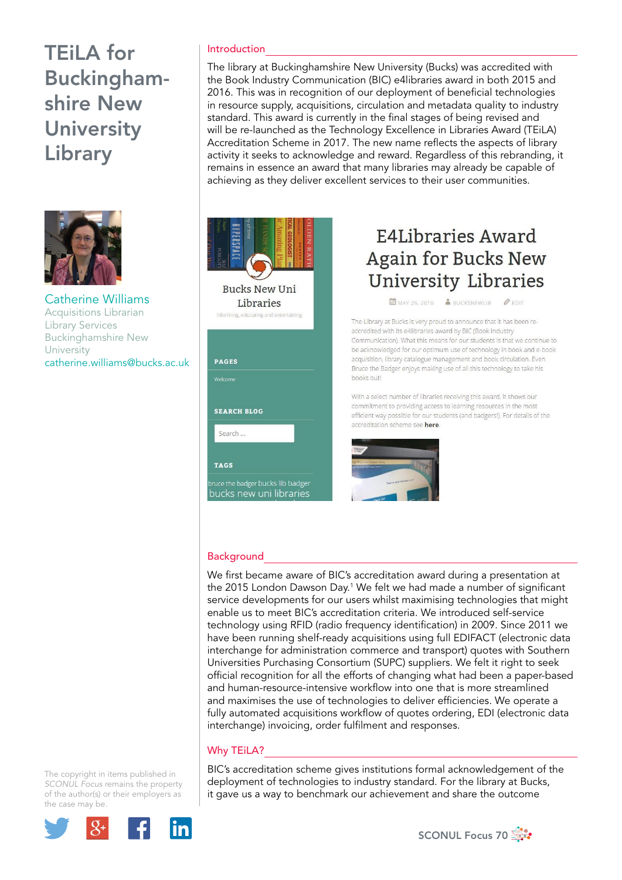# TEiLA for Buckinghamshire New **University** Library



Catherine Williams Acquisitions Librarian Library Services Buckinghamshire New University catherine.williams@bucks.ac.uk

### Introduction

The library at Buckinghamshire New University (Bucks) was accredited with the Book Industry Communication (BIC) e4libraries award in both 2015 and 2016. This was in recognition of our deployment of beneficial technologies in resource supply, acquisitions, circulation and metadata quality to industry standard. This award is currently in the final stages of being revised and will be re-launched as the Technology Excellence in Libraries Award (TEiLA) Accreditation Scheme in 2017. The new name reflects the aspects of library activity it seeks to acknowledge and reward. Regardless of this rebranding, it remains in essence an award that many libraries may already be capable of achieving as they deliver excellent services to their user communities.



## E4Libraries Award **Again for Bucks New University Libraries**

MAY 25, 2016 & BUCKSNEWLIB @ EDIT

The Library at Bucks is very proud to announce that it has been reaccredited with its e4libraries award by BIC (Book Industry Communication). What this means for our students is that we continue to be acknowledged for our optimum use of technology in book and e-book acquisition, library catalogue management and book circulation. Even Bruce the Badger enjoys making use of all this technology to take his hooks out!

With a select number of libraries receiving this award, it shows our commitment to providing access to learning resources in the most efficient way possible for our students (and badgers!). For details of the accreditation scheme see here.



#### **Background**

We first became aware of BIC's accreditation award during a presentation at the 2015 London Dawson Day.<sup>1</sup> We felt we had made a number of significant service developments for our users whilst maximising technologies that might enable us to meet BIC's accreditation criteria. We introduced self-service technology using RFID (radio frequency identification) in 2009. Since 2011 we have been running shelf-ready acquisitions using full EDIFACT (electronic data interchange for administration commerce and transport) quotes with Southern Universities Purchasing Consortium (SUPC) suppliers. We felt it right to seek official recognition for all the efforts of changing what had been a paper-based and human-resource-intensive workflow into one that is more streamlined and maximises the use of technologies to deliver efficiencies. We operate a fully automated acquisitions workflow of quotes ordering, EDI (electronic data interchange) invoicing, order fulfilment and responses.

### Why TEiLA?

BIC's accreditation scheme gives institutions formal acknowledgement of the deployment of technologies to industry standard. For the library at Bucks, it gave us a way to benchmark our achievement and share the outcome

The copyright in items published in *SCONUL Focus* remains the property of the author(s) or their employers as the case may be.



SCONUL Focus 70